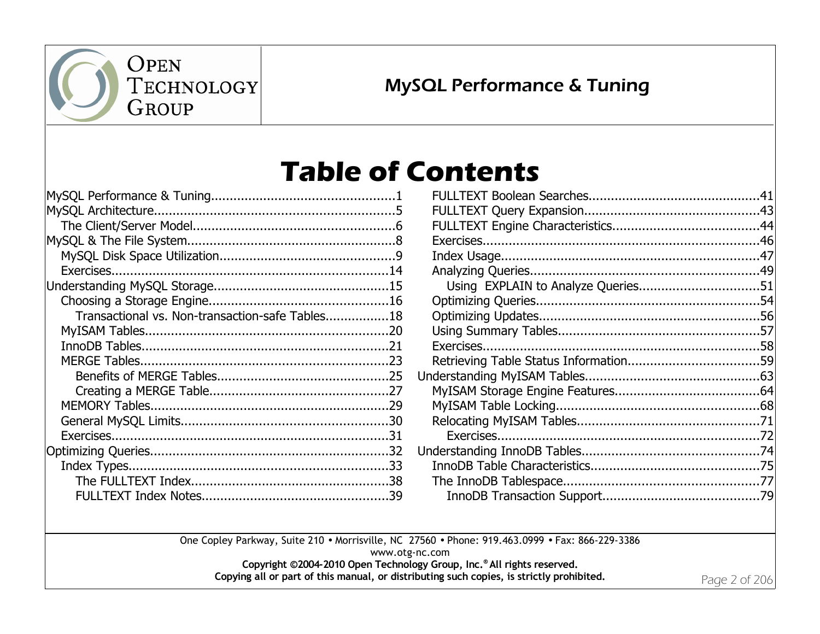

## MySQL Performance & Tuning

## **Table of Contents**

| Transactional vs. Non-transaction-safe Tables18 |  |
|-------------------------------------------------|--|
|                                                 |  |
|                                                 |  |
|                                                 |  |
|                                                 |  |
|                                                 |  |
|                                                 |  |
|                                                 |  |
|                                                 |  |
|                                                 |  |
|                                                 |  |
|                                                 |  |
|                                                 |  |

One Copley Parkway, Suite 210 • Morrisville, NC 27560 • Phone: 919.463.0999 • Fax: 866-229-3386 www.otg-nc.com **Copyright ©2004-2010 Open Technology Group, Inc.® All rights reserved. Copying all or part of this manual, or distributing such copies, is strictly prohibited.**

Page 2 of 206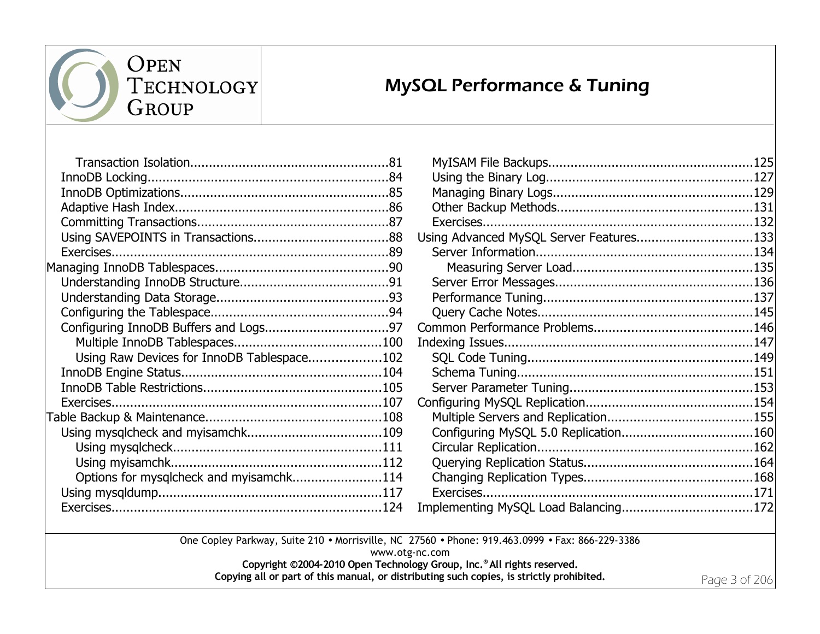

## MySQL Performance & Tuning

| Using Raw Devices for InnoDB Tablespace102 |  |
|--------------------------------------------|--|
|                                            |  |
|                                            |  |
|                                            |  |
|                                            |  |
|                                            |  |
|                                            |  |
|                                            |  |
| Options for mysqlcheck and myisamchk114    |  |
|                                            |  |
|                                            |  |
|                                            |  |

| Using Advanced MySQL Server Features133 |  |
|-----------------------------------------|--|
|                                         |  |
|                                         |  |
|                                         |  |
|                                         |  |
|                                         |  |
|                                         |  |
|                                         |  |
|                                         |  |
|                                         |  |
|                                         |  |
|                                         |  |
|                                         |  |
|                                         |  |
|                                         |  |
|                                         |  |
|                                         |  |
|                                         |  |
|                                         |  |
|                                         |  |

One Copley Parkway, Suite 210 • Morrisville, NC 27560 • Phone: 919.463.0999 • Fax: 866-229-3386 www.otg-nc.com

**Copyright ©2004-2010 Open Technology Group, Inc.® All rights reserved.**

**Copying all or part of this manual, or distributing such copies, is strictly prohibited.**

Page 3 of 206